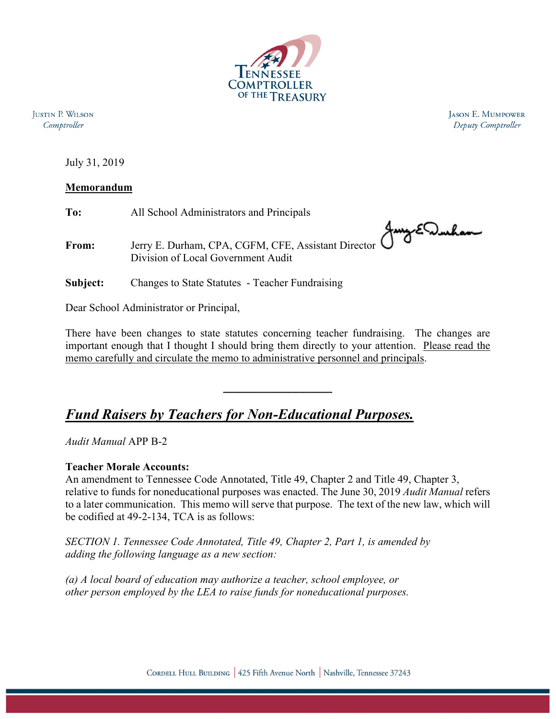

**IUSTIN P. WILSON** Comptroller

**JASON E. MUMPOWER** Deputy Comptroller

July 31, 2019

## **Memorandum**

**To:** All School Administrators and Principals **From:** Jerry E. Durham, CPA, CGFM, CFE, Assistant Director Division of Local Government Audit **Subject:** Changes to State Statutes - Teacher Fundraising

Dear School Administrator or Principal,

There have been changes to state statutes concerning teacher fundraising. The changes are important enough that I thought I should bring them directly to your attention. Please read the memo carefully and circulate the memo to administrative personnel and principals.

**\_\_\_\_\_\_\_\_\_\_\_\_\_\_\_** 

## *Fund Raisers by Teachers for Non-Educational Purposes.*

*Audit Manual* APP B-2

## **Teacher Morale Accounts:**

An amendment to Tennessee Code Annotated, Title 49, Chapter 2 and Title 49, Chapter 3, relative to funds for noneducational purposes was enacted. The June 30, 2019 *Audit Manual* refers to a later communication. This memo will serve that purpose. The text of the new law, which will be codified at 49-2-134, TCA is as follows:

*SECTION 1. Tennessee Code Annotated, Title 49, Chapter 2, Part 1, is amended by adding the following language as a new section:* 

*(a) A local board of education may authorize a teacher, school employee, or other person employed by the LEA to raise funds for noneducational purposes.*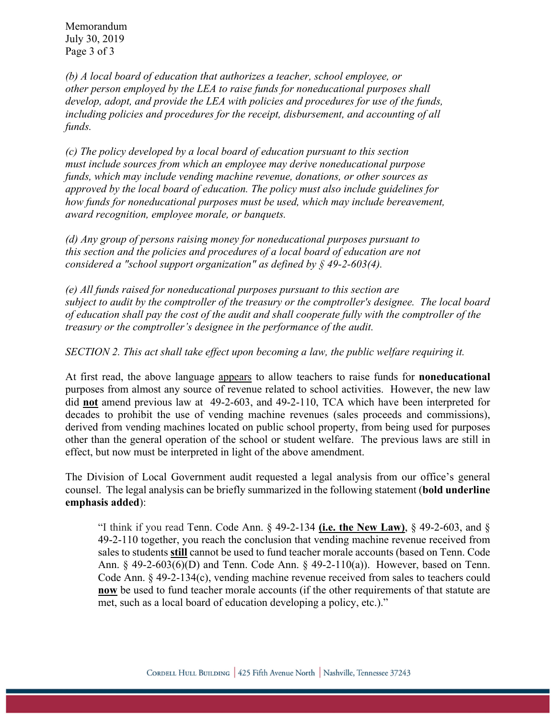Memorandum July 30, 2019 Page 3 of 3

*(b) A local board of education that authorizes a teacher, school employee, or other person employed by the LEA to raise funds for noneducational purposes shall develop, adopt, and provide the LEA with policies and procedures for use of the funds, including policies and procedures for the receipt, disbursement, and accounting of all funds.* 

*(c) The policy developed by a local board of education pursuant to this section must include sources from which an employee may derive noneducational purpose funds, which may include vending machine revenue, donations, or other sources as approved by the local board of education. The policy must also include guidelines for how funds for noneducational purposes must be used, which may include bereavement, award recognition, employee morale, or banquets.* 

*(d) Any group of persons raising money for noneducational purposes pursuant to this section and the policies and procedures of a local board of education are not considered a "school support organization" as defined by § 49-2-603(4).* 

*(e) All funds raised for noneducational purposes pursuant to this section are subject to audit by the comptroller of the treasury or the comptroller's designee. The local board of education shall pay the cost of the audit and shall cooperate fully with the comptroller of the treasury or the comptroller's designee in the performance of the audit.* 

*SECTION 2. This act shall take effect upon becoming a law, the public welfare requiring it.* 

At first read, the above language appears to allow teachers to raise funds for **noneducational**  purposes from almost any source of revenue related to school activities. However, the new law did **not** amend previous law at 49-2-603, and 49-2-110, TCA which have been interpreted for decades to prohibit the use of vending machine revenues (sales proceeds and commissions), derived from vending machines located on public school property, from being used for purposes other than the general operation of the school or student welfare. The previous laws are still in effect, but now must be interpreted in light of the above amendment.

The Division of Local Government audit requested a legal analysis from our office's general counsel. The legal analysis can be briefly summarized in the following statement (**bold underline emphasis added**):

"I think if you read Tenn. Code Ann. § 49-2-134 **(i.e. the New Law)**, § 49-2-603, and § 49-2-110 together, you reach the conclusion that vending machine revenue received from sales to students **still** cannot be used to fund teacher morale accounts (based on Tenn. Code Ann. § 49-2-603(6)(D) and Tenn. Code Ann. § 49-2-110(a)). However, based on Tenn. Code Ann. § 49-2-134(c), vending machine revenue received from sales to teachers could **now** be used to fund teacher morale accounts (if the other requirements of that statute are met, such as a local board of education developing a policy, etc.)."